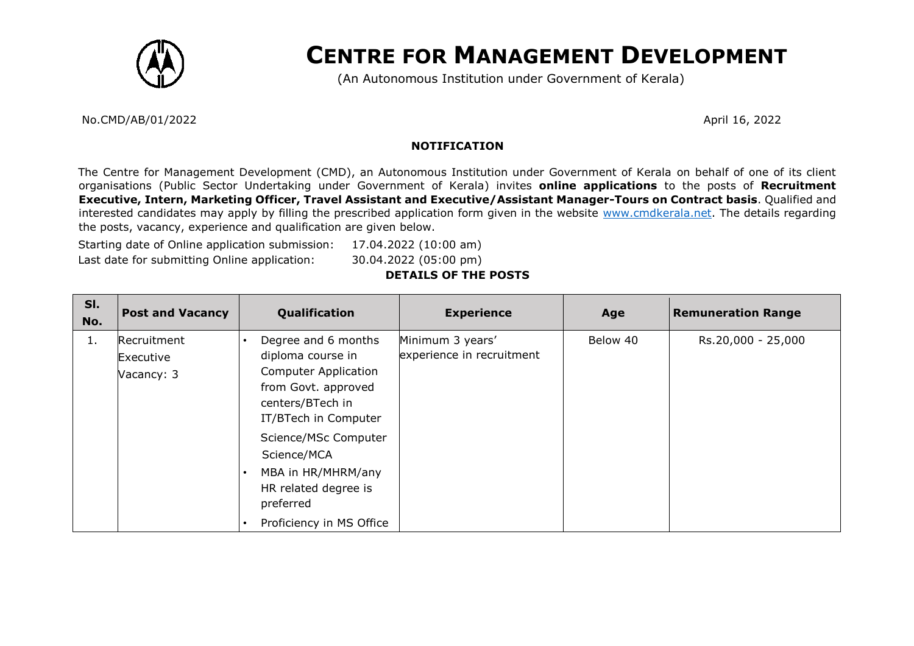

# **CENTRE FOR MANAGEMENT DEVELOPMENT**

(An Autonomous Institution under Government of Kerala)

No.CMD/AB/01/2022 April 16, 2022

### **NOTIFICATION**

The Centre for Management Development (CMD), an Autonomous Institution under Government of Kerala on behalf of one of its client organisations (Public Sector Undertaking under Government of Kerala) invites **online applications** to the posts of **Recruitment Executive, Intern, Marketing Officer, Travel Assistant and Executive/Assistant Manager-Tours on Contract basis**. Qualified and interested candidates may apply by filling the prescribed application form given in the website [www.cmdkerala.net.](http://www.cmdkerala.net/) The details regarding the posts, vacancy, experience and qualification are given below.

Starting date of Online application submission: 17.04.2022 (10:00 am) Last date for submitting Online application: 30.04.2022 (05:00 pm)

## **DETAILS OF THE POSTS**

| SI.<br>No. | <b>Post and Vacancy</b>                | Qualification                                                                                                                                                                                                                                                            | <b>Experience</b>                             | Age      | <b>Remuneration Range</b> |
|------------|----------------------------------------|--------------------------------------------------------------------------------------------------------------------------------------------------------------------------------------------------------------------------------------------------------------------------|-----------------------------------------------|----------|---------------------------|
| 1.         | Recruitment<br>Executive<br>Vacancy: 3 | Degree and 6 months<br>diploma course in<br><b>Computer Application</b><br>from Govt. approved<br>centers/BTech in<br>IT/BTech in Computer<br>Science/MSc Computer<br>Science/MCA<br>MBA in HR/MHRM/any<br>HR related degree is<br>preferred<br>Proficiency in MS Office | Minimum 3 years'<br>experience in recruitment | Below 40 | Rs.20,000 - 25,000        |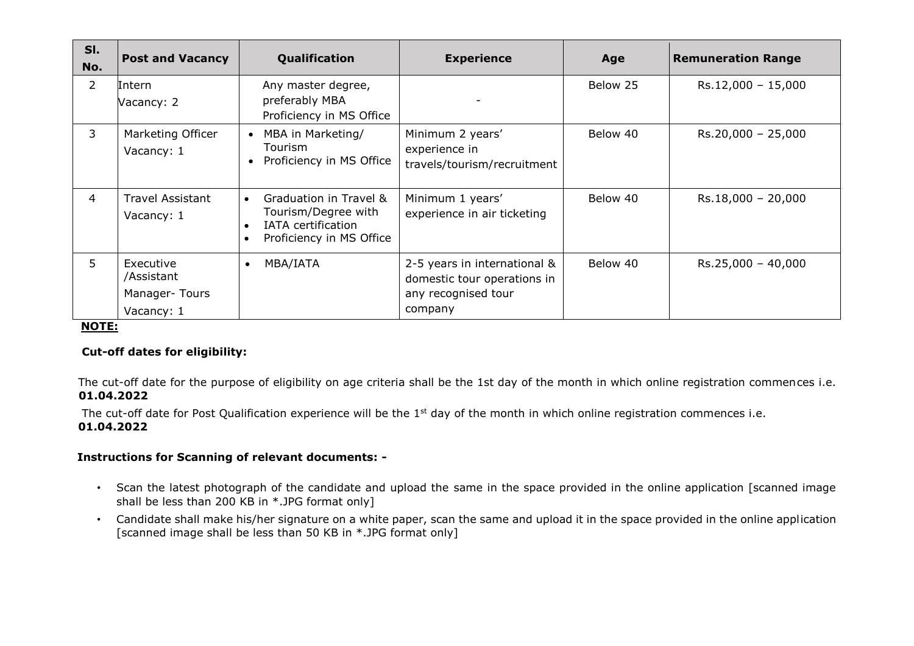| SI.<br>No.     | <b>Post and Vacancy</b>                                | Qualification                                                                                                | <b>Experience</b>                                                                             | Age      | <b>Remuneration Range</b> |
|----------------|--------------------------------------------------------|--------------------------------------------------------------------------------------------------------------|-----------------------------------------------------------------------------------------------|----------|---------------------------|
| $\overline{2}$ | Intern<br>Vacancy: 2                                   | Any master degree,<br>preferably MBA<br>Proficiency in MS Office                                             |                                                                                               | Below 25 | $Rs.12,000 - 15,000$      |
| 3              | Marketing Officer<br>Vacancy: 1                        | MBA in Marketing/<br>Tourism<br>Proficiency in MS Office                                                     | Minimum 2 years'<br>experience in<br>travels/tourism/recruitment                              | Below 40 | $Rs.20,000 - 25,000$      |
| 4              | <b>Travel Assistant</b><br>Vacancy: 1                  | Graduation in Travel &<br>$\bullet$<br>Tourism/Degree with<br>IATA certification<br>Proficiency in MS Office | Minimum 1 years'<br>experience in air ticketing                                               | Below 40 | $Rs.18,000 - 20,000$      |
| 5              | Executive<br>/Assistant<br>Manager-Tours<br>Vacancy: 1 | MBA/IATA<br>$\bullet$                                                                                        | 2-5 years in international &<br>domestic tour operations in<br>any recognised tour<br>company | Below 40 | $Rs.25,000 - 40,000$      |

### **NOTE:**

### **Cut-off dates for eligibility:**

The cut-off date for the purpose of eligibility on age criteria shall be the 1st day of the month in which online registration commences i.e. **01.04.2022**

The cut-off date for Post Qualification experience will be the 1<sup>st</sup> day of the month in which online registration commences i.e. **01.04.2022**

## **Instructions for Scanning of relevant documents: -**

- Scan the latest photograph of the candidate and upload the same in the space provided in the online application [scanned image shall be less than 200 KB in  $*$ . JPG format only]
- Candidate shall make his/her signature on a white paper, scan the same and upload it in the space provided in the online application [scanned image shall be less than 50 KB in \*.JPG format only]